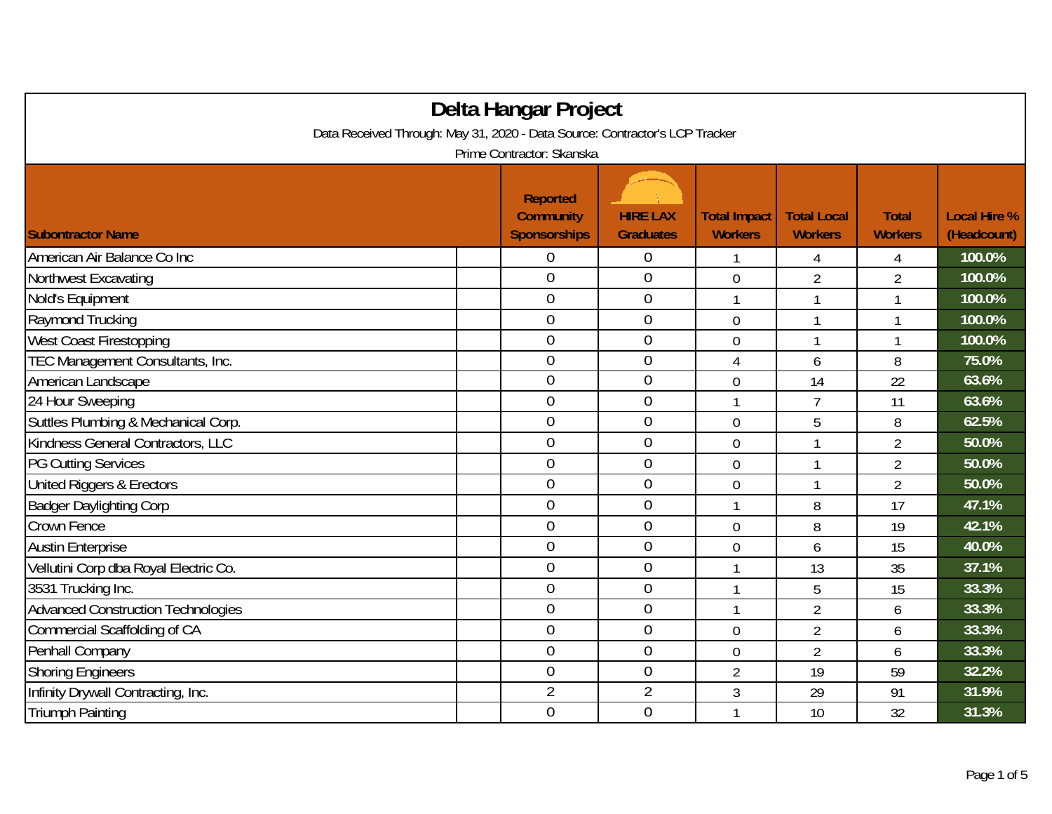| Delta Hangar Project                                                        |                                                            |                                     |                                       |                                      |                                |                                    |  |  |
|-----------------------------------------------------------------------------|------------------------------------------------------------|-------------------------------------|---------------------------------------|--------------------------------------|--------------------------------|------------------------------------|--|--|
| Data Received Through: May 31, 2020 - Data Source: Contractor's LCP Tracker |                                                            |                                     |                                       |                                      |                                |                                    |  |  |
| Prime Contractor: Skanska                                                   |                                                            |                                     |                                       |                                      |                                |                                    |  |  |
| <b>Subontractor Name</b>                                                    | <b>Reported</b><br><b>Community</b><br><b>Sponsorships</b> | <b>HIRE LAX</b><br><b>Graduates</b> | <b>Total Impact</b><br><b>Workers</b> | <b>Total Local</b><br><b>Workers</b> | <b>Total</b><br><b>Workers</b> | <b>Local Hire %</b><br>(Headcount) |  |  |
| American Air Balance Co Inc                                                 | 0                                                          | 0                                   |                                       | 4                                    | 4                              | 100.0%                             |  |  |
| Northwest Excavating                                                        | $\mathbf 0$                                                | $\mathbf 0$                         | $\mathbf 0$                           | $\overline{2}$                       | $\overline{2}$                 | 100.0%                             |  |  |
| Nold's Equipment                                                            | $\mathbf 0$                                                | $\boldsymbol{0}$                    | $\mathbf{1}$                          | 1                                    | 1                              | 100.0%                             |  |  |
| Raymond Trucking                                                            | $\overline{0}$                                             | $\overline{0}$                      | $\overline{0}$                        | 1                                    | $\mathbf{1}$                   | 100.0%                             |  |  |
| West Coast Firestopping                                                     | $\overline{0}$                                             | $\mathbf{0}$                        | 0                                     | 1                                    | 1                              | 100.0%                             |  |  |
| TEC Management Consultants, Inc.                                            | $\overline{0}$                                             | $\overline{0}$                      | 4                                     | 6                                    | 8                              | 75.0%                              |  |  |
| American Landscape                                                          | $\overline{0}$                                             | $\boldsymbol{0}$                    | $\mathbf 0$                           | 14                                   | 22                             | 63.6%                              |  |  |
| 24 Hour Sweeping                                                            | $\mathbf 0$                                                | $\mathbf 0$                         | $\mathbf{1}$                          | $\overline{1}$                       | 11                             | 63.6%                              |  |  |
| Suttles Plumbing & Mechanical Corp.                                         | $\overline{0}$                                             | $\mathbf 0$                         | $\mathbf 0$                           | 5                                    | 8                              | 62.5%                              |  |  |
| Kindness General Contractors, LLC                                           | $\overline{0}$                                             | $\overline{0}$                      | $\overline{0}$                        |                                      | $\overline{2}$                 | 50.0%                              |  |  |
| <b>PG Cutting Services</b>                                                  | $\overline{0}$                                             | $\mathbf 0$                         | $\mathbf 0$                           | 1                                    | $\overline{2}$                 | 50.0%                              |  |  |
| United Riggers & Erectors                                                   | 0                                                          | $\mathbf{0}$                        | $\mathbf 0$                           |                                      | $\overline{2}$                 | 50.0%                              |  |  |
| <b>Badger Daylighting Corp</b>                                              | $\overline{0}$                                             | $\overline{0}$                      | 1                                     | 8                                    | 17                             | 47.1%                              |  |  |
| Crown Fence                                                                 | $\overline{0}$                                             | $\mathbf 0$                         | $\overline{0}$                        | 8                                    | 19                             | 42.1%                              |  |  |
| <b>Austin Enterprise</b>                                                    | $\overline{0}$                                             | $\mathbf 0$                         | $\overline{0}$                        | 6                                    | 15                             | 40.0%                              |  |  |
| Vellutini Corp dba Royal Electric Co.                                       | $\overline{0}$                                             | $\boldsymbol{0}$                    | 1                                     | 13                                   | 35                             | 37.1%                              |  |  |
| 3531 Trucking Inc.                                                          | $\mathbf 0$                                                | $\mathbf{0}$                        | 1                                     | 5                                    | 15                             | 33.3%                              |  |  |
| <b>Advanced Construction Technologies</b>                                   | $\overline{0}$                                             | $\mathbf 0$                         | 1                                     | $\overline{2}$                       | 6                              | 33.3%                              |  |  |
| Commercial Scaffolding of CA                                                | $\mathbf 0$                                                | $\overline{0}$                      | $\overline{0}$                        | $\overline{2}$                       | 6                              | 33.3%                              |  |  |
| Penhall Company                                                             | $\overline{0}$                                             | $\mathbf 0$                         | 0                                     | $\overline{2}$                       | 6                              | 33.3%                              |  |  |
| <b>Shoring Engineers</b>                                                    | $\overline{0}$                                             | $\mathbf 0$                         | $\overline{2}$                        | 19                                   | 59                             | 32.2%                              |  |  |
| Infinity Drywall Contracting, Inc.                                          | $\overline{2}$                                             | $\overline{2}$                      | 3                                     | 29                                   | 91                             | 31.9%                              |  |  |
| <b>Triumph Painting</b>                                                     | $\overline{0}$                                             | $\overline{0}$                      | 1                                     | 10                                   | 32                             | 31.3%                              |  |  |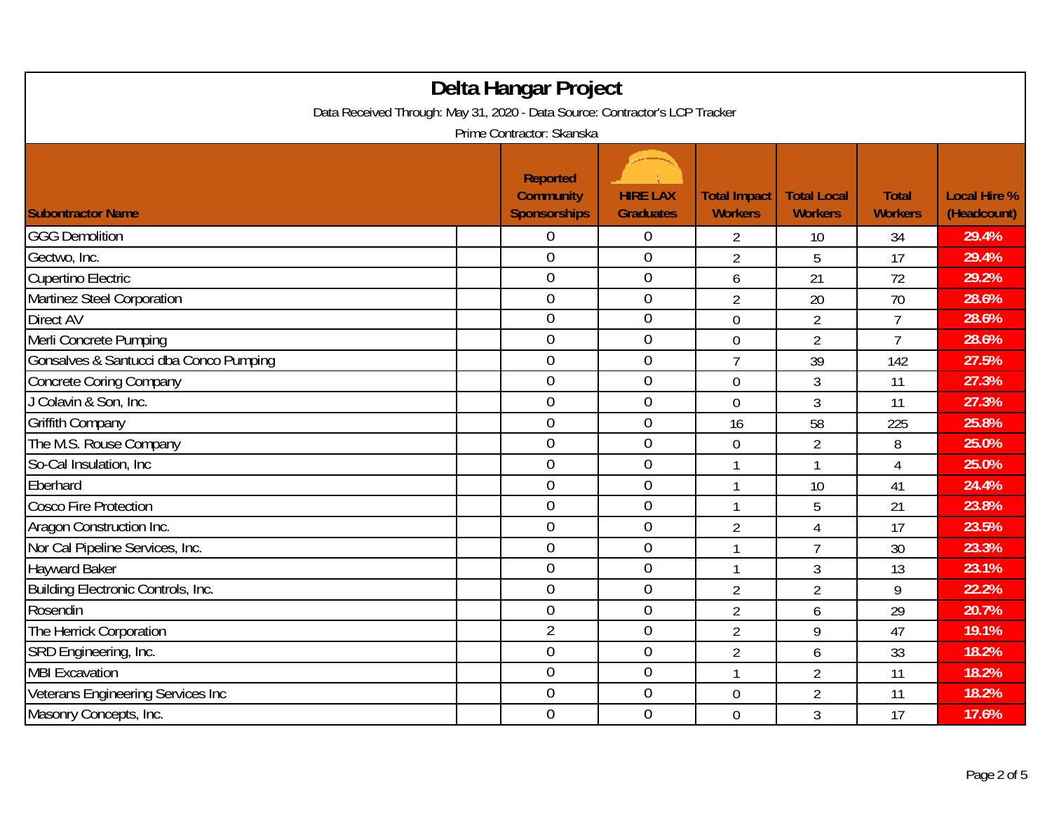| Delta Hangar Project<br>Data Received Through: May 31, 2020 - Data Source: Contractor's LCP Tracker<br>Prime Contractor: Skanska |                                                            |                                     |                                       |                                      |                                |                                    |  |
|----------------------------------------------------------------------------------------------------------------------------------|------------------------------------------------------------|-------------------------------------|---------------------------------------|--------------------------------------|--------------------------------|------------------------------------|--|
| <b>Subontractor Name</b>                                                                                                         | <b>Reported</b><br><b>Community</b><br><b>Sponsorships</b> | <b>HIRE LAX</b><br><b>Graduates</b> | <b>Total Impact</b><br><b>Workers</b> | <b>Total Local</b><br><b>Workers</b> | <b>Total</b><br><b>Workers</b> | <b>Local Hire %</b><br>(Headcount) |  |
| <b>GGG Demolition</b>                                                                                                            | 0                                                          | 0                                   | 2                                     | 10                                   | 34                             | 29.4%                              |  |
| Gectwo, Inc.                                                                                                                     | $\overline{0}$                                             | $\boldsymbol{0}$                    | $\overline{2}$                        | 5                                    | 17                             | 29.4%                              |  |
| Cupertino Electric                                                                                                               | $\overline{0}$                                             | $\boldsymbol{0}$                    | 6                                     | 21                                   | 72                             | 29.2%                              |  |
| Martinez Steel Corporation                                                                                                       | $\overline{0}$                                             | $\boldsymbol{0}$                    | $\overline{2}$                        | 20                                   | 70                             | 28.6%                              |  |
| <b>Direct AV</b>                                                                                                                 | $\overline{0}$                                             | $\boldsymbol{0}$                    | $\overline{0}$                        | $\overline{2}$                       | $\overline{7}$                 | 28.6%                              |  |
| Merli Concrete Pumping                                                                                                           | $\overline{0}$                                             | $\overline{0}$                      | 0                                     | $\overline{2}$                       | $\overline{7}$                 | 28.6%                              |  |
| Gonsalves & Santucci dba Conco Pumping                                                                                           | 0                                                          | $\boldsymbol{0}$                    | $\overline{7}$                        | 39                                   | 142                            | 27.5%                              |  |
| <b>Concrete Coring Company</b>                                                                                                   | $\overline{0}$                                             | $\boldsymbol{0}$                    | 0                                     | 3                                    | 11                             | 27.3%                              |  |
| J Colavin & Son, Inc.                                                                                                            | $\overline{0}$                                             | $\boldsymbol{0}$                    | $\mathbf 0$                           | 3                                    | 11                             | 27.3%                              |  |
| <b>Griffith Company</b>                                                                                                          | $\mathbf 0$                                                | $\boldsymbol{0}$                    | 16                                    | 58                                   | 225                            | 25.8%                              |  |
| The M.S. Rouse Company                                                                                                           | $\overline{0}$                                             | $\overline{0}$                      | 0                                     | $\overline{2}$                       | 8                              | 25.0%                              |  |
| So-Cal Insulation, Inc.                                                                                                          | $\mathbf 0$                                                | $\boldsymbol{0}$                    | 1                                     | 1                                    | 4                              | 25.0%                              |  |
| Eberhard                                                                                                                         | $\mathbf 0$                                                | $\overline{0}$                      | 1                                     | 10                                   | 41                             | 24.4%                              |  |
| <b>Cosco Fire Protection</b>                                                                                                     | $\overline{0}$                                             | $\boldsymbol{0}$                    | $\mathbf{1}$                          | 5                                    | 21                             | 23.8%                              |  |
| Aragon Construction Inc.                                                                                                         | $\mathbf 0$                                                | $\boldsymbol{0}$                    | $\overline{2}$                        | $\overline{4}$                       | 17                             | 23.5%                              |  |
| Nor Cal Pipeline Services, Inc.                                                                                                  | $\mathbf 0$                                                | $\boldsymbol{0}$                    | $\mathbf{1}$                          | $\overline{7}$                       | 30                             | 23.3%                              |  |
| <b>Hayward Baker</b>                                                                                                             | $\overline{0}$                                             | $\boldsymbol{0}$                    | 1                                     | 3                                    | 13                             | 23.1%                              |  |
| Building Electronic Controls, Inc.                                                                                               | $\overline{0}$                                             | $\overline{0}$                      | $\overline{2}$                        | $\overline{2}$                       | 9                              | 22.2%                              |  |
| Rosendin                                                                                                                         | $\overline{0}$                                             | $\boldsymbol{0}$                    | $\overline{2}$                        | 6                                    | 29                             | 20.7%                              |  |
| The Herrick Corporation                                                                                                          | $\overline{2}$                                             | $\boldsymbol{0}$                    | $\overline{2}$                        | 9                                    | 47                             | 19.1%                              |  |
| SRD Engineering, Inc.                                                                                                            | $\overline{0}$                                             | $\boldsymbol{0}$                    | $\overline{2}$                        | 6                                    | 33                             | 18.2%                              |  |
| <b>MBI Excavation</b>                                                                                                            | $\mathbf 0$                                                | $\boldsymbol{0}$                    | $\mathbf{1}$                          | $\overline{2}$                       | 11                             | 18.2%                              |  |
| Veterans Engineering Services Inc                                                                                                | $\overline{0}$                                             | $\boldsymbol{0}$                    | 0                                     | $\overline{2}$                       | 11                             | 18.2%                              |  |
| Masonry Concepts, Inc.                                                                                                           | $\overline{0}$                                             | $\mathbf 0$                         | $\overline{0}$                        | 3                                    | 17                             | 17.6%                              |  |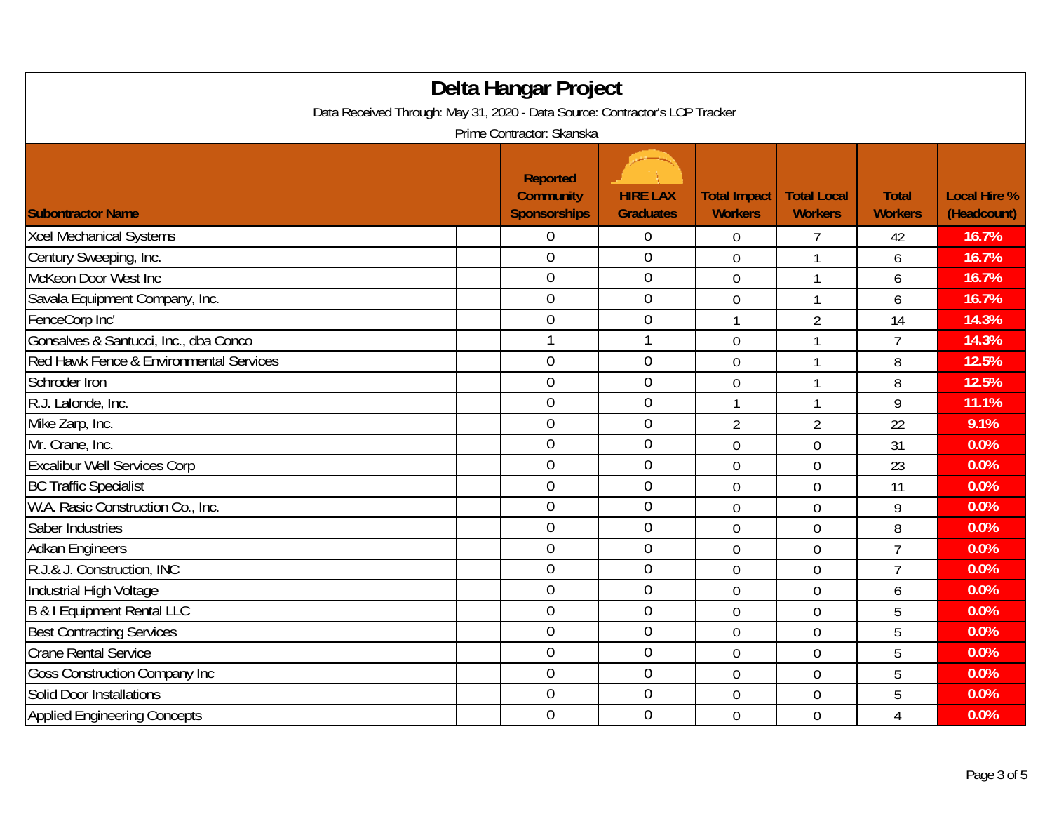| Delta Hangar Project                                                        |  |                                     |                  |                     |                    |                |                     |
|-----------------------------------------------------------------------------|--|-------------------------------------|------------------|---------------------|--------------------|----------------|---------------------|
| Data Received Through: May 31, 2020 - Data Source: Contractor's LCP Tracker |  |                                     |                  |                     |                    |                |                     |
| Prime Contractor: Skanska                                                   |  |                                     |                  |                     |                    |                |                     |
|                                                                             |  | <b>Reported</b><br><b>Community</b> | <b>HIRE LAX</b>  | <b>Total Impact</b> | <b>Total Local</b> | <b>Total</b>   | <b>Local Hire %</b> |
| <b>Subontractor Name</b>                                                    |  | <b>Sponsorships</b>                 | <b>Graduates</b> | <b>Workers</b>      | <b>Workers</b>     | <b>Workers</b> | (Headcount)         |
| <b>Xcel Mechanical Systems</b>                                              |  | 0                                   | $\boldsymbol{0}$ | $\overline{0}$      | 7                  | 42             | 16.7%               |
| Century Sweeping, Inc.                                                      |  | $\mathbf 0$                         | $\mathbf 0$      | $\mathbf 0$         | 1                  | 6              | 16.7%               |
| McKeon Door West Inc                                                        |  | $\overline{0}$                      | $\mathbf 0$      | $\overline{0}$      | 1                  | 6              | 16.7%               |
| Savala Equipment Company, Inc.                                              |  | 0                                   | $\boldsymbol{0}$ | $\mathbf 0$         | 1                  | 6              | 16.7%               |
| FenceCorp Inc'                                                              |  | $\overline{0}$                      | $\mathbf 0$      | $\mathbf{1}$        | $\overline{2}$     | 14             | 14.3%               |
| Gonsalves & Santucci, Inc., dba Conco                                       |  |                                     | $\mathbf{1}$     | $\overline{0}$      | $\mathbf{1}$       | $\overline{7}$ | 14.3%               |
| Red Hawk Fence & Environmental Services                                     |  | $\overline{0}$                      | $\theta$         | $\overline{0}$      | 1                  | 8              | 12.5%               |
| Schroder Iron                                                               |  | $\overline{0}$                      | $\mathbf 0$      | $\overline{0}$      | $\mathbf{1}$       | 8              | 12.5%               |
| R.J. Lalonde, Inc.                                                          |  | $\mathbf 0$                         | $\boldsymbol{0}$ | 1                   | 1                  | 9              | 11.1%               |
| Mike Zarp, Inc.                                                             |  | $\mathbf 0$                         | $\mathbf 0$      | $\overline{2}$      | $\overline{2}$     | 22             | 9.1%                |
| Mr. Crane, Inc.                                                             |  | $\overline{0}$                      | $\overline{0}$   | $\overline{0}$      | $\overline{0}$     | 31             | 0.0%                |
| <b>Excalibur Well Services Corp</b>                                         |  | $\overline{0}$                      | $\mathbf{0}$     | $\overline{0}$      | $\overline{0}$     | 23             | 0.0%                |
| <b>BC Traffic Specialist</b>                                                |  | $\overline{0}$                      | $\overline{0}$   | $\overline{0}$      | $\overline{0}$     | 11             | 0.0%                |
| W.A. Rasic Construction Co., Inc.                                           |  | $\overline{0}$                      | $\mathbf 0$      | $\overline{0}$      | $\overline{0}$     | 9              | 0.0%                |
| Saber Industries                                                            |  | $\overline{0}$                      | $\boldsymbol{0}$ | $\mathbf 0$         | $\mathbf 0$        | 8              | 0.0%                |
| <b>Adkan Engineers</b>                                                      |  | $\boldsymbol{0}$                    | $\boldsymbol{0}$ | $\mathbf 0$         | $\overline{0}$     | $\overline{7}$ | 0.0%                |
| R.J.& J. Construction, INC                                                  |  | $\overline{0}$                      | $\mathbf 0$      | $\overline{0}$      | $\overline{0}$     | $\overline{7}$ | 0.0%                |
| Industrial High Voltage                                                     |  | $\overline{0}$                      | $\overline{0}$   | $\mathbf 0$         | 0                  | 6              | 0.0%                |
| <b>B &amp; I Equipment Rental LLC</b>                                       |  | $\overline{0}$                      | $\mathbf{0}$     | $\overline{0}$      | $\overline{0}$     | 5              | 0.0%                |
| <b>Best Contracting Services</b>                                            |  | $\mathbf 0$                         | $\boldsymbol{0}$ | $\mathbf 0$         | $\mathbf 0$        | 5              | 0.0%                |
| <b>Crane Rental Service</b>                                                 |  | $\mathbf 0$                         | $\mathbf 0$      | $\mathbf 0$         | 0                  | 5              | 0.0%                |
| <b>Goss Construction Company Inc</b>                                        |  | $\overline{0}$                      | $\mathbf 0$      | $\overline{0}$      | $\overline{0}$     | 5              | 0.0%                |
| Solid Door Installations                                                    |  | $\boldsymbol{0}$                    | $\boldsymbol{0}$ | $\mathbf 0$         | 0                  | 5              | 0.0%                |
| <b>Applied Engineering Concepts</b>                                         |  | $\overline{0}$                      | $\mathbf 0$      | $\overline{0}$      | $\overline{0}$     | $\overline{4}$ | 0.0%                |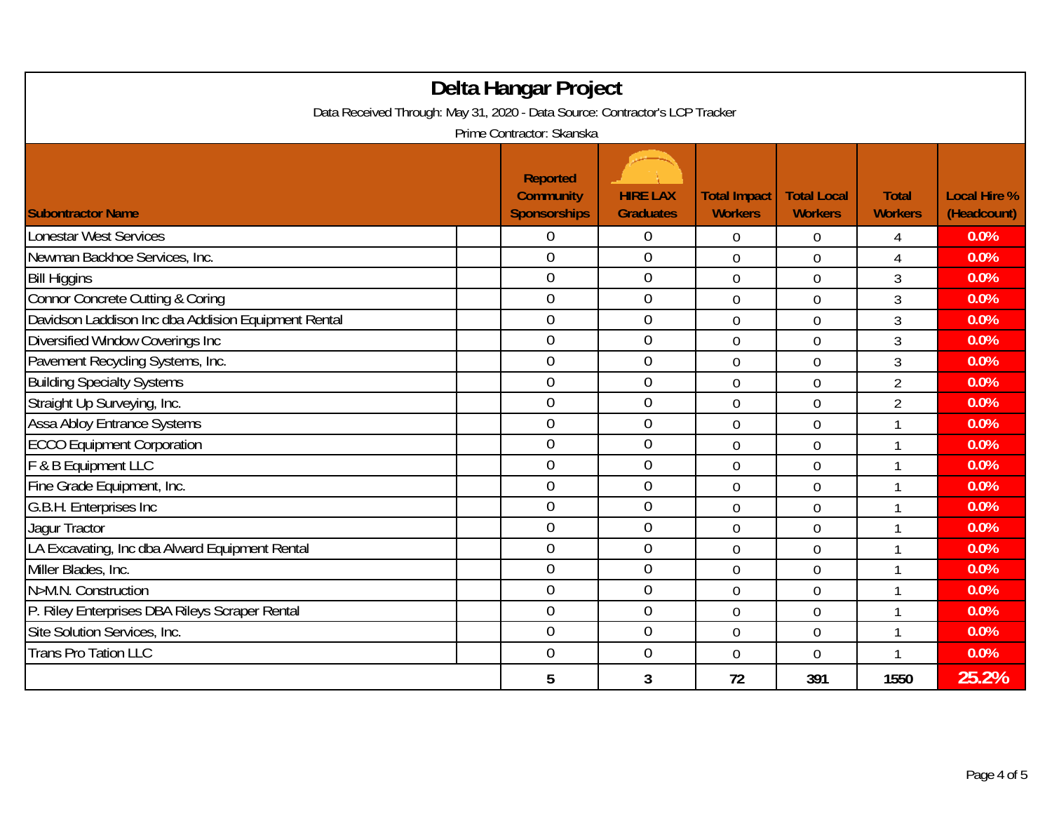| Delta Hangar Project<br>Data Received Through: May 31, 2020 - Data Source: Contractor's LCP Tracker |                                                                  |                  |                     |                    |                |                     |  |
|-----------------------------------------------------------------------------------------------------|------------------------------------------------------------------|------------------|---------------------|--------------------|----------------|---------------------|--|
|                                                                                                     | Prime Contractor: Skanska<br><b>Reported</b><br><b>Community</b> | <b>HIRE LAX</b>  | <b>Total Impact</b> | <b>Total Local</b> | <b>Total</b>   | <b>Local Hire %</b> |  |
| <b>Subontractor Name</b>                                                                            | Sponsorships                                                     | <b>Graduates</b> | <b>Workers</b>      | <b>Workers</b>     | <b>Workers</b> | (Headcount)         |  |
| <b>Lonestar West Services</b>                                                                       | 0                                                                | 0                | $\boldsymbol{0}$    | $\mathbf 0$        | 4              | 0.0%                |  |
| Newman Backhoe Services, Inc.                                                                       | $\overline{0}$                                                   | $\overline{0}$   | $\overline{0}$      | $\overline{0}$     | 4              | 0.0%                |  |
| <b>Bill Higgins</b>                                                                                 | $\overline{0}$                                                   | $\boldsymbol{0}$ | $\overline{0}$      | $\overline{0}$     | 3              | 0.0%                |  |
| Connor Concrete Cutting & Coring                                                                    | $\overline{0}$                                                   | $\mathbf 0$      | $\overline{0}$      | $\overline{0}$     | 3              | 0.0%                |  |
| Davidson Laddison Inc dba Addision Equipment Rental                                                 | $\overline{0}$                                                   | $\boldsymbol{0}$ | $\mathbf 0$         | $\mathbf 0$        | 3              | 0.0%                |  |
| Diversified Window Coverings Inc                                                                    | $\overline{0}$                                                   | $\overline{0}$   | $\overline{0}$      | $\overline{0}$     | 3              | 0.0%                |  |
| Pavement Recycling Systems, Inc.                                                                    | $\overline{0}$                                                   | $\overline{0}$   | $\overline{0}$      | $\overline{0}$     | 3              | 0.0%                |  |
| <b>Building Specialty Systems</b>                                                                   | $\overline{0}$                                                   | $\overline{0}$   | $\overline{0}$      | $\overline{0}$     | $\overline{2}$ | 0.0%                |  |
| Straight Up Surveying, Inc.                                                                         | $\overline{0}$                                                   | $\mathbf 0$      | $\overline{0}$      | $\overline{0}$     | $\overline{2}$ | 0.0%                |  |
| Assa Abloy Entrance Systems                                                                         | $\overline{0}$                                                   | $\overline{0}$   | $\overline{0}$      | $\overline{0}$     | $\mathbf{1}$   | 0.0%                |  |
| <b>ECCO Equipment Corporation</b>                                                                   | $\overline{0}$                                                   | $\mathbf 0$      | $\overline{0}$      | $\overline{0}$     | 1              | 0.0%                |  |
| F & B Equipment LLC                                                                                 | $\overline{0}$                                                   | $\boldsymbol{0}$ | $\overline{0}$      | $\overline{0}$     | $\mathbf{1}$   | 0.0%                |  |
| Fine Grade Equipment, Inc.                                                                          | $\overline{0}$                                                   | $\boldsymbol{0}$ | $\overline{0}$      | $\overline{0}$     | 1              | 0.0%                |  |
| G.B.H. Enterprises Inc                                                                              | $\overline{0}$                                                   | $\mathbf 0$      | $\overline{0}$      | $\overline{0}$     | $\mathbf{1}$   | 0.0%                |  |
| Jaqur Tractor                                                                                       | $\overline{0}$                                                   | $\mathbf 0$      | $\overline{0}$      | $\overline{0}$     | 1              | 0.0%                |  |
| LA Excavating, Inc dba Alward Equipment Rental                                                      | $\overline{0}$                                                   | $\boldsymbol{0}$ | $\overline{0}$      | $\overline{0}$     | 1              | 0.0%                |  |
| Miller Blades, Inc.                                                                                 | $\overline{0}$                                                   | $\boldsymbol{0}$ | 0                   | $\mathbf 0$        | 1              | 0.0%                |  |
| N>M.N. Construction                                                                                 | $\overline{0}$                                                   | $\boldsymbol{0}$ | $\overline{0}$      | $\overline{0}$     | 1              | 0.0%                |  |
| P. Riley Enterprises DBA Rileys Scraper Rental                                                      | $\overline{0}$                                                   | $\overline{0}$   | $\overline{0}$      | $\overline{0}$     | 1              | 0.0%                |  |
| Site Solution Services, Inc.                                                                        | $\overline{0}$                                                   | $\boldsymbol{0}$ | $\overline{0}$      | $\overline{0}$     | $\mathbf{1}$   | 0.0%                |  |
| <b>Trans Pro Tation LLC</b>                                                                         | $\overline{0}$                                                   | $\mathbf 0$      | $\overline{0}$      | $\overline{0}$     | $\mathbf{1}$   | 0.0%                |  |
|                                                                                                     | 5                                                                | 3                | 72                  | 391                | 1550           | 25.2%               |  |